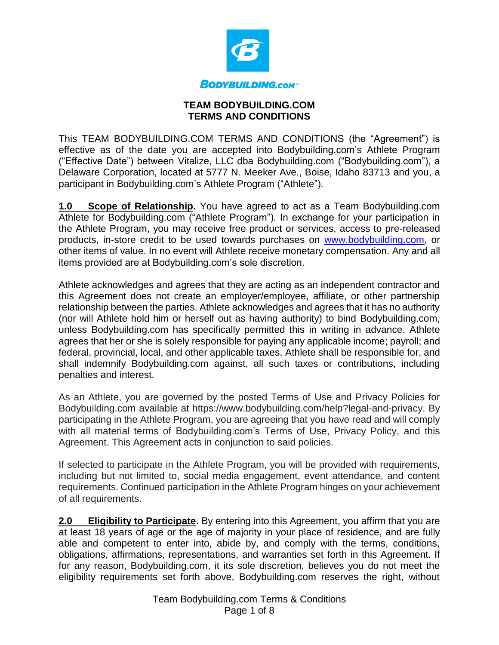

## **TEAM BODYBUILDING.COM TERMS AND CONDITIONS**

This TEAM BODYBUILDING.COM TERMS AND CONDITIONS (the "Agreement") is effective as of the date you are accepted into Bodybuilding.com's Athlete Program ("Effective Date") between Vitalize, LLC dba Bodybuilding.com ("Bodybuilding.com"), a Delaware Corporation, located at 5777 N. Meeker Ave., Boise, Idaho 83713 and you, a participant in Bodybuilding.com's Athlete Program ("Athlete").

**1.0 Scope of Relationship.** You have agreed to act as a Team Bodybuilding.com Athlete for Bodybuilding.com ("Athlete Program"). In exchange for your participation in the Athlete Program, you may receive free product or services, access to pre-released products, in-store credit to be used towards purchases on [www.bodybuilding.com,](http://www.bodybuilding.com/) or other items of value. In no event will Athlete receive monetary compensation. Any and all items provided are at Bodybuilding.com's sole discretion.

Athlete acknowledges and agrees that they are acting as an independent contractor and this Agreement does not create an employer/employee, affiliate, or other partnership relationship between the parties. Athlete acknowledges and agrees that it has no authority (nor will Athlete hold him or herself out as having authority) to bind Bodybuilding.com, unless Bodybuilding.com has specifically permitted this in writing in advance. Athlete agrees that her or she is solely responsible for paying any applicable income; payroll; and federal, provincial, local, and other applicable taxes. Athlete shall be responsible for, and shall indemnify Bodybuilding.com against, all such taxes or contributions, including penalties and interest.

As an Athlete, you are governed by the posted Terms of Use and Privacy Policies for Bodybuilding.com available at https://www.bodybuilding.com/help?legal-and-privacy. By participating in the Athlete Program, you are agreeing that you have read and will comply with all material terms of Bodybuilding.com's Terms of Use, Privacy Policy, and this Agreement. This Agreement acts in conjunction to said policies.

If selected to participate in the Athlete Program, you will be provided with requirements, including but not limited to, social media engagement, event attendance, and content requirements. Continued participation in the Athlete Program hinges on your achievement of all requirements.

**2.0 Eligibility to Participate.** By entering into this Agreement, you affirm that you are at least 18 years of age or the age of majority in your place of residence, and are fully able and competent to enter into, abide by, and comply with the terms, conditions, obligations, affirmations, representations, and warranties set forth in this Agreement. If for any reason, Bodybuilding.com, it its sole discretion, believes you do not meet the eligibility requirements set forth above, Bodybuilding.com reserves the right, without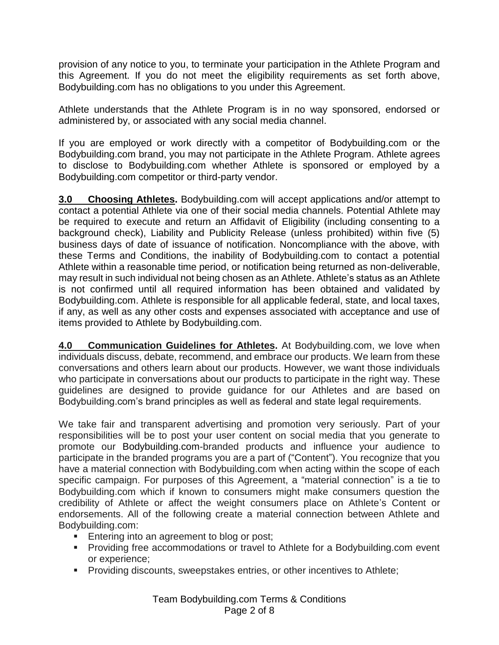provision of any notice to you, to terminate your participation in the Athlete Program and this Agreement. If you do not meet the eligibility requirements as set forth above, Bodybuilding.com has no obligations to you under this Agreement.

Athlete understands that the Athlete Program is in no way sponsored, endorsed or administered by, or associated with any social media channel.

If you are employed or work directly with a competitor of Bodybuilding.com or the Bodybuilding.com brand, you may not participate in the Athlete Program. Athlete agrees to disclose to Bodybuilding.com whether Athlete is sponsored or employed by a Bodybuilding.com competitor or third-party vendor.

**3.0 Choosing Athletes.** Bodybuilding.com will accept applications and/or attempt to contact a potential Athlete via one of their social media channels. Potential Athlete may be required to execute and return an Affidavit of Eligibility (including consenting to a background check), Liability and Publicity Release (unless prohibited) within five (5) business days of date of issuance of notification. Noncompliance with the above, with these Terms and Conditions, the inability of Bodybuilding.com to contact a potential Athlete within a reasonable time period, or notification being returned as non-deliverable, may result in such individual not being chosen as an Athlete. Athlete's status as an Athlete is not confirmed until all required information has been obtained and validated by Bodybuilding.com. Athlete is responsible for all applicable federal, state, and local taxes, if any, as well as any other costs and expenses associated with acceptance and use of items provided to Athlete by Bodybuilding.com.

**4.0 Communication Guidelines for Athletes.** At Bodybuilding.com, we love when individuals discuss, debate, recommend, and embrace our products. We learn from these conversations and others learn about our products. However, we want those individuals who participate in conversations about our products to participate in the right way. These guidelines are designed to provide guidance for our Athletes and are based on Bodybuilding.com's brand principles as well as federal and state legal requirements.

We take fair and transparent advertising and promotion very seriously. Part of your responsibilities will be to post your user content on social media that you generate to promote our Bodybuilding.com-branded products and influence your audience to participate in the branded programs you are a part of ("Content"). You recognize that you have a material connection with Bodybuilding.com when acting within the scope of each specific campaign. For purposes of this Agreement, a "material connection" is a tie to Bodybuilding.com which if known to consumers might make consumers question the credibility of Athlete or affect the weight consumers place on Athlete's Content or endorsements. All of the following create a material connection between Athlete and Bodybuilding.com:

- Entering into an agreement to blog or post;
- Providing free accommodations or travel to Athlete for a Bodybuilding.com event or experience;
- **Providing discounts, sweepstakes entries, or other incentives to Athlete;**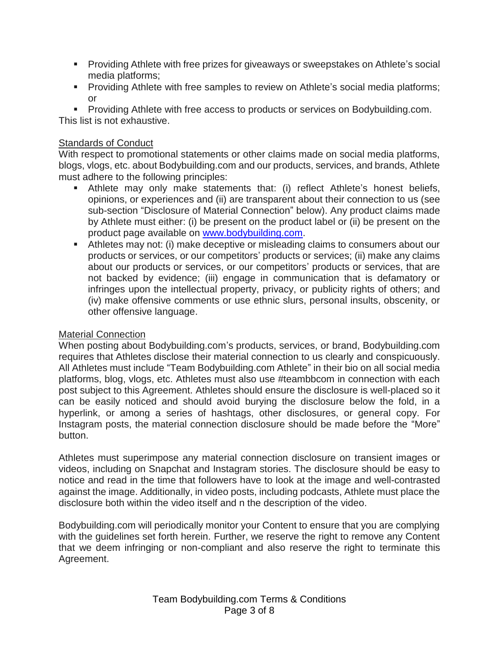- Providing Athlete with free prizes for giveaways or sweepstakes on Athlete's social media platforms;
- **Providing Athlete with free samples to review on Athlete's social media platforms;** or

▪ Providing Athlete with free access to products or services on Bodybuilding.com. This list is not exhaustive.

## Standards of Conduct

With respect to promotional statements or other claims made on social media platforms, blogs, vlogs, etc. about Bodybuilding.com and our products, services, and brands, Athlete must adhere to the following principles:

- Athlete may only make statements that: (i) reflect Athlete's honest beliefs, opinions, or experiences and (ii) are transparent about their connection to us (see sub-section "Disclosure of Material Connection" below). Any product claims made by Athlete must either: (i) be present on the product label or (ii) be present on the product page available on [www.bodybuilding.com.](http://www.bodybuilding.com/)
- **EXTER** Athletes may not: (i) make deceptive or misleading claims to consumers about our products or services, or our competitors' products or services; (ii) make any claims about our products or services, or our competitors' products or services, that are not backed by evidence; (iii) engage in communication that is defamatory or infringes upon the intellectual property, privacy, or publicity rights of others; and (iv) make offensive comments or use ethnic slurs, personal insults, obscenity, or other offensive language.

## Material Connection

When posting about Bodybuilding.com's products, services, or brand, Bodybuilding.com requires that Athletes disclose their material connection to us clearly and conspicuously. All Athletes must include "Team Bodybuilding.com Athlete" in their bio on all social media platforms, blog, vlogs, etc. Athletes must also use #teambbcom in connection with each post subject to this Agreement. Athletes should ensure the disclosure is well-placed so it can be easily noticed and should avoid burying the disclosure below the fold, in a hyperlink, or among a series of hashtags, other disclosures, or general copy. For Instagram posts, the material connection disclosure should be made before the "More" button.

Athletes must superimpose any material connection disclosure on transient images or videos, including on Snapchat and Instagram stories. The disclosure should be easy to notice and read in the time that followers have to look at the image and well-contrasted against the image. Additionally, in video posts, including podcasts, Athlete must place the disclosure both within the video itself and n the description of the video.

Bodybuilding.com will periodically monitor your Content to ensure that you are complying with the guidelines set forth herein. Further, we reserve the right to remove any Content that we deem infringing or non-compliant and also reserve the right to terminate this Agreement.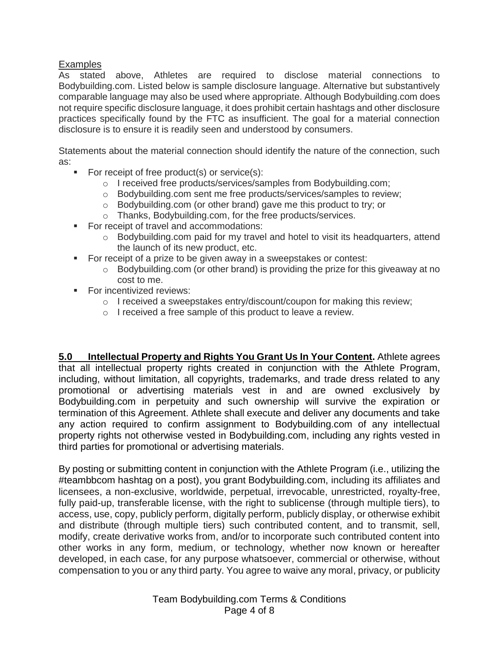## **Examples**

As stated above, Athletes are required to disclose material connections to Bodybuilding.com. Listed below is sample disclosure language. Alternative but substantively comparable language may also be used where appropriate. Although Bodybuilding.com does not require specific disclosure language, it does prohibit certain hashtags and other disclosure practices specifically found by the FTC as insufficient. The goal for a material connection disclosure is to ensure it is readily seen and understood by consumers.

Statements about the material connection should identify the nature of the connection, such as:

- For receipt of free product(s) or service(s):
	- o I received free products/services/samples from Bodybuilding.com;
	- o Bodybuilding.com sent me free products/services/samples to review;
	- o Bodybuilding.com (or other brand) gave me this product to try; or
	- o Thanks, Bodybuilding.com, for the free products/services.
- For receipt of travel and accommodations:
	- o Bodybuilding.com paid for my travel and hotel to visit its headquarters, attend the launch of its new product, etc.
- For receipt of a prize to be given away in a sweepstakes or contest:
	- $\circ$  Bodybuilding.com (or other brand) is providing the prize for this giveaway at no cost to me.
- For incentivized reviews:
	- $\circ$  I received a sweepstakes entry/discount/coupon for making this review;
	- o I received a free sample of this product to leave a review.

**5.0 Intellectual Property and Rights You Grant Us In Your Content.** Athlete agrees that all intellectual property rights created in conjunction with the Athlete Program, including, without limitation, all copyrights, trademarks, and trade dress related to any promotional or advertising materials vest in and are owned exclusively by Bodybuilding.com in perpetuity and such ownership will survive the expiration or termination of this Agreement. Athlete shall execute and deliver any documents and take any action required to confirm assignment to Bodybuilding.com of any intellectual property rights not otherwise vested in Bodybuilding.com, including any rights vested in third parties for promotional or advertising materials.

By posting or submitting content in conjunction with the Athlete Program (i.e., utilizing the #teambbcom hashtag on a post), you grant Bodybuilding.com, including its affiliates and licensees, a non-exclusive, worldwide, perpetual, irrevocable, unrestricted, royalty-free, fully paid-up, transferable license, with the right to sublicense (through multiple tiers), to access, use, copy, publicly perform, digitally perform, publicly display, or otherwise exhibit and distribute (through multiple tiers) such contributed content, and to transmit, sell, modify, create derivative works from, and/or to incorporate such contributed content into other works in any form, medium, or technology, whether now known or hereafter developed, in each case, for any purpose whatsoever, commercial or otherwise, without compensation to you or any third party. You agree to waive any moral, privacy, or publicity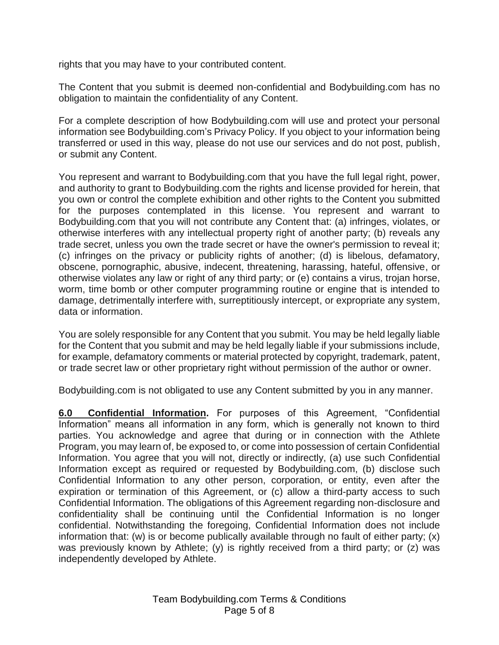rights that you may have to your contributed content.

The Content that you submit is deemed non-confidential and Bodybuilding.com has no obligation to maintain the confidentiality of any Content.

For a complete description of how Bodybuilding.com will use and protect your personal information see Bodybuilding.com's Privacy Policy. If you object to your information being transferred or used in this way, please do not use our services and do not post, publish, or submit any Content.

You represent and warrant to Bodybuilding.com that you have the full legal right, power, and authority to grant to Bodybuilding.com the rights and license provided for herein, that you own or control the complete exhibition and other rights to the Content you submitted for the purposes contemplated in this license. You represent and warrant to Bodybuilding.com that you will not contribute any Content that: (a) infringes, violates, or otherwise interferes with any intellectual property right of another party; (b) reveals any trade secret, unless you own the trade secret or have the owner's permission to reveal it; (c) infringes on the privacy or publicity rights of another; (d) is libelous, defamatory, obscene, pornographic, abusive, indecent, threatening, harassing, hateful, offensive, or otherwise violates any law or right of any third party; or (e) contains a virus, trojan horse, worm, time bomb or other computer programming routine or engine that is intended to damage, detrimentally interfere with, surreptitiously intercept, or expropriate any system, data or information.

You are solely responsible for any Content that you submit. You may be held legally liable for the Content that you submit and may be held legally liable if your submissions include, for example, defamatory comments or material protected by copyright, trademark, patent, or trade secret law or other proprietary right without permission of the author or owner.

Bodybuilding.com is not obligated to use any Content submitted by you in any manner.

**6.0 Confidential Information.** For purposes of this Agreement, "Confidential Information" means all information in any form, which is generally not known to third parties. You acknowledge and agree that during or in connection with the Athlete Program, you may learn of, be exposed to, or come into possession of certain Confidential Information. You agree that you will not, directly or indirectly, (a) use such Confidential Information except as required or requested by Bodybuilding.com, (b) disclose such Confidential Information to any other person, corporation, or entity, even after the expiration or termination of this Agreement, or (c) allow a third-party access to such Confidential Information. The obligations of this Agreement regarding non-disclosure and confidentiality shall be continuing until the Confidential Information is no longer confidential. Notwithstanding the foregoing, Confidential Information does not include information that: (w) is or become publically available through no fault of either party; (x) was previously known by Athlete; (y) is rightly received from a third party; or (z) was independently developed by Athlete.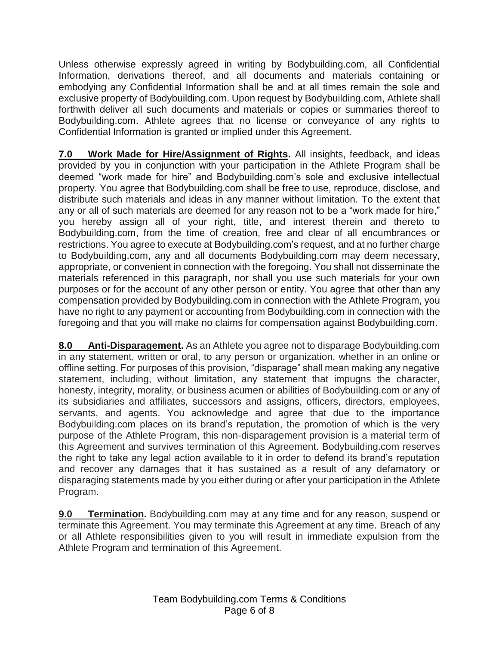Unless otherwise expressly agreed in writing by Bodybuilding.com, all Confidential Information, derivations thereof, and all documents and materials containing or embodying any Confidential Information shall be and at all times remain the sole and exclusive property of Bodybuilding.com. Upon request by Bodybuilding.com, Athlete shall forthwith deliver all such documents and materials or copies or summaries thereof to Bodybuilding.com. Athlete agrees that no license or conveyance of any rights to Confidential Information is granted or implied under this Agreement.

**7.0 Work Made for Hire/Assignment of Rights.** All insights, feedback, and ideas provided by you in conjunction with your participation in the Athlete Program shall be deemed "work made for hire" and Bodybuilding.com's sole and exclusive intellectual property. You agree that Bodybuilding.com shall be free to use, reproduce, disclose, and distribute such materials and ideas in any manner without limitation. To the extent that any or all of such materials are deemed for any reason not to be a "work made for hire," you hereby assign all of your right, title, and interest therein and thereto to Bodybuilding.com, from the time of creation, free and clear of all encumbrances or restrictions. You agree to execute at Bodybuilding.com's request, and at no further charge to Bodybuilding.com, any and all documents Bodybuilding.com may deem necessary, appropriate, or convenient in connection with the foregoing. You shall not disseminate the materials referenced in this paragraph, nor shall you use such materials for your own purposes or for the account of any other person or entity. You agree that other than any compensation provided by Bodybuilding.com in connection with the Athlete Program, you have no right to any payment or accounting from Bodybuilding.com in connection with the foregoing and that you will make no claims for compensation against Bodybuilding.com.

**8.0 Anti-Disparagement.** As an Athlete you agree not to disparage Bodybuilding.com in any statement, written or oral, to any person or organization, whether in an online or offline setting. For purposes of this provision, "disparage" shall mean making any negative statement, including, without limitation, any statement that impugns the character, honesty, integrity, morality, or business acumen or abilities of Bodybuilding.com or any of its subsidiaries and affiliates, successors and assigns, officers, directors, employees, servants, and agents. You acknowledge and agree that due to the importance Bodybuilding.com places on its brand's reputation, the promotion of which is the very purpose of the Athlete Program, this non-disparagement provision is a material term of this Agreement and survives termination of this Agreement. Bodybuilding.com reserves the right to take any legal action available to it in order to defend its brand's reputation and recover any damages that it has sustained as a result of any defamatory or disparaging statements made by you either during or after your participation in the Athlete Program.

**9.0 Termination.** Bodybuilding.com may at any time and for any reason, suspend or terminate this Agreement. You may terminate this Agreement at any time. Breach of any or all Athlete responsibilities given to you will result in immediate expulsion from the Athlete Program and termination of this Agreement.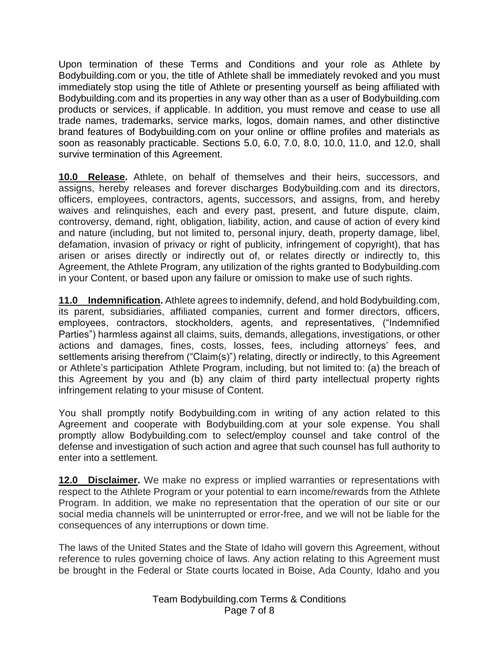Upon termination of these Terms and Conditions and your role as Athlete by Bodybuilding.com or you, the title of Athlete shall be immediately revoked and you must immediately stop using the title of Athlete or presenting yourself as being affiliated with Bodybuilding.com and its properties in any way other than as a user of Bodybuilding.com products or services, if applicable. In addition, you must remove and cease to use all trade names, trademarks, service marks, logos, domain names, and other distinctive brand features of Bodybuilding.com on your online or offline profiles and materials as soon as reasonably practicable. Sections 5.0, 6.0, 7.0, 8.0, 10.0, 11.0, and 12.0, shall survive termination of this Agreement.

**10.0 Release.** Athlete, on behalf of themselves and their heirs, successors, and assigns, hereby releases and forever discharges Bodybuilding.com and its directors, officers, employees, contractors, agents, successors, and assigns, from, and hereby waives and relinquishes, each and every past, present, and future dispute, claim, controversy, demand, right, obligation, liability, action, and cause of action of every kind and nature (including, but not limited to, personal injury, death, property damage, libel, defamation, invasion of privacy or right of publicity, infringement of copyright), that has arisen or arises directly or indirectly out of, or relates directly or indirectly to, this Agreement, the Athlete Program, any utilization of the rights granted to Bodybuilding.com in your Content, or based upon any failure or omission to make use of such rights.

**11.0 Indemnification.** Athlete agrees to indemnify, defend, and hold Bodybuilding.com, its parent, subsidiaries, affiliated companies, current and former directors, officers, employees, contractors, stockholders, agents, and representatives, ("Indemnified Parties") harmless against all claims, suits, demands, allegations, investigations, or other actions and damages, fines, costs, losses, fees, including attorneys' fees, and settlements arising therefrom ("Claim(s)") relating, directly or indirectly, to this Agreement or Athlete's participation Athlete Program, including, but not limited to: (a) the breach of this Agreement by you and (b) any claim of third party intellectual property rights infringement relating to your misuse of Content.

You shall promptly notify Bodybuilding.com in writing of any action related to this Agreement and cooperate with Bodybuilding.com at your sole expense. You shall promptly allow Bodybuilding.com to select/employ counsel and take control of the defense and investigation of such action and agree that such counsel has full authority to enter into a settlement.

**12.0 Disclaimer.** We make no express or implied warranties or representations with respect to the Athlete Program or your potential to earn income/rewards from the Athlete Program. In addition, we make no representation that the operation of our site or our social media channels will be uninterrupted or error-free, and we will not be liable for the consequences of any interruptions or down time.

The laws of the United States and the State of Idaho will govern this Agreement, without reference to rules governing choice of laws. Any action relating to this Agreement must be brought in the Federal or State courts located in Boise, Ada County, Idaho and you